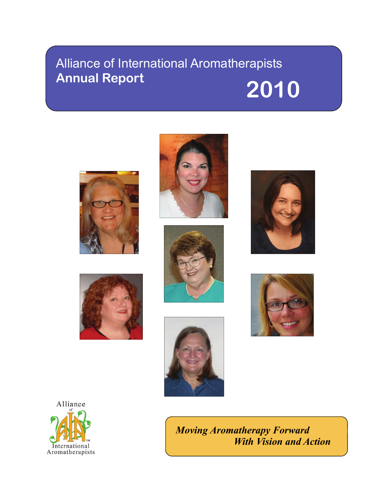# Alliance of International Aromatherapists Annual Report 2010















*Moving Aromatherapy Forward With Vision and Action*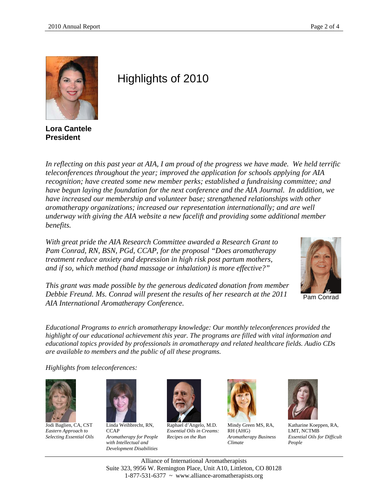

**Lora Cantele President** 

## Highlights of 2010

*In reflecting on this past year at AIA, I am proud of the progress we have made. We held terrific teleconferences throughout the year; improved the application for schools applying for AIA recognition; have created some new member perks; established a fundraising committee; and have begun laying the foundation for the next conference and the AIA Journal. In addition, we have increased our membership and volunteer base; strengthened relationships with other aromatherapy organizations; increased our representation internationally; and are well underway with giving the AIA website a new facelift and providing some additional member benefits.* 

*With great pride the AIA Research Committee awarded a Research Grant to Pam Conrad, RN, BSN, PGd, CCAP, for the proposal "Does aromatherapy treatment reduce anxiety and depression in high risk post partum mothers, and if so, which method (hand massage or inhalation) is more effective?"* 



*This grant was made possible by the generous dedicated donation from member Debbie Freund. Ms. Conrad will present the results of her research at the 2011 AIA International Aromatherapy Conference.*

Pam Conrad

*Educational Programs to enrich aromatherapy knowledge: Our monthly teleconferences provided the highlight of our educational achievement this year. The programs are filled with vital information and educational topics provided by professionals in aromatherapy and related healthcare fields. Audio CDs are available to members and the public of all these programs.* 

*Highlights from teleconferences:* 



Jodi Baglien, CA, CST *Eastern Approach to Selecting Essential Oils* 



Linda Weihbrecht, RN, **CCAP** *Aromatherapy for People with Intellectual and Development Disabilities*



Raphael d'Angelo, M.D. *Essential Oils in Creams: Recipes on the Run* 



Mindy Green MS, RA, RH (AHG) *Aromatherapy Business Climate* 



Katharine Koeppen, RA, LMT, NCTMB *Essential Oils for Difficult People* 

Alliance of International Aromatherapists Suite 323, 9956 W. Remington Place, Unit A10, Littleton, CO 80128 1-877-531-6377 ~ www.alliance-aromatherapists.org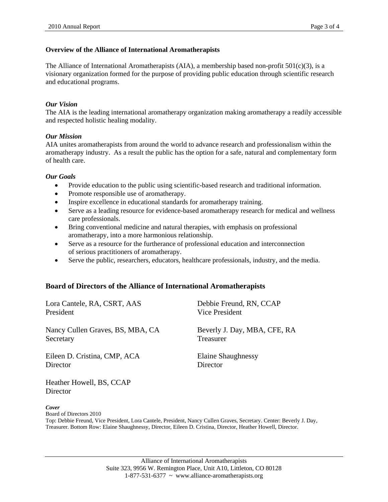#### **Overview of the Alliance of International Aromatherapists**

The Alliance of International Aromatherapists (AIA), a membership based non-profit  $501(c)(3)$ , is a visionary organization formed for the purpose of providing public education through scientific research and educational programs.

#### *Our Vision*

The AIA is the leading international aromatherapy organization making aromatherapy a readily accessible and respected holistic healing modality.

#### *Our Mission*

AIA unites aromatherapists from around the world to advance research and professionalism within the aromatherapy industry. As a result the public has the option for a safe, natural and complementary form of health care.

#### *Our Goals*

- Provide education to the public using scientific-based research and traditional information.
- Promote responsible use of aromatherapy.
- Inspire excellence in educational standards for aromatherapy training.
- Serve as a leading resource for evidence-based aromatherapy research for medical and wellness care professionals.
- Bring conventional medicine and natural therapies, with emphasis on professional aromatherapy, into a more harmonious relationship.
- Serve as a resource for the furtherance of professional education and interconnection of serious practitioners of aromatherapy.
- Serve the public, researchers, educators, healthcare professionals, industry, and the media.

#### **Board of Directors of the Alliance of International Aromatherapists**

| Lora Cantele, RA, CSRT, AAS      | Debbie Freund, RN, CCAP      |  |  |
|----------------------------------|------------------------------|--|--|
| President                        | Vice President               |  |  |
| Nancy Cullen Graves, BS, MBA, CA | Beverly J. Day, MBA, CFE, RA |  |  |
| Secretary                        | Treasurer                    |  |  |
| Eileen D. Cristina, CMP, ACA     | Elaine Shaughnessy           |  |  |
| Director                         | Director                     |  |  |

Heather Howell, BS, CCAP **Director** 

*Cover*

Board of Directors 2010

Top: Debbie Freund, Vice President, Lora Cantele, President, Nancy Cullen Graves, Secretary. Center: Beverly J. Day, Treasurer. Bottom Row: Elaine Shaughnessy, Director, Eileen D. Cristina, Director, Heather Howell, Director.